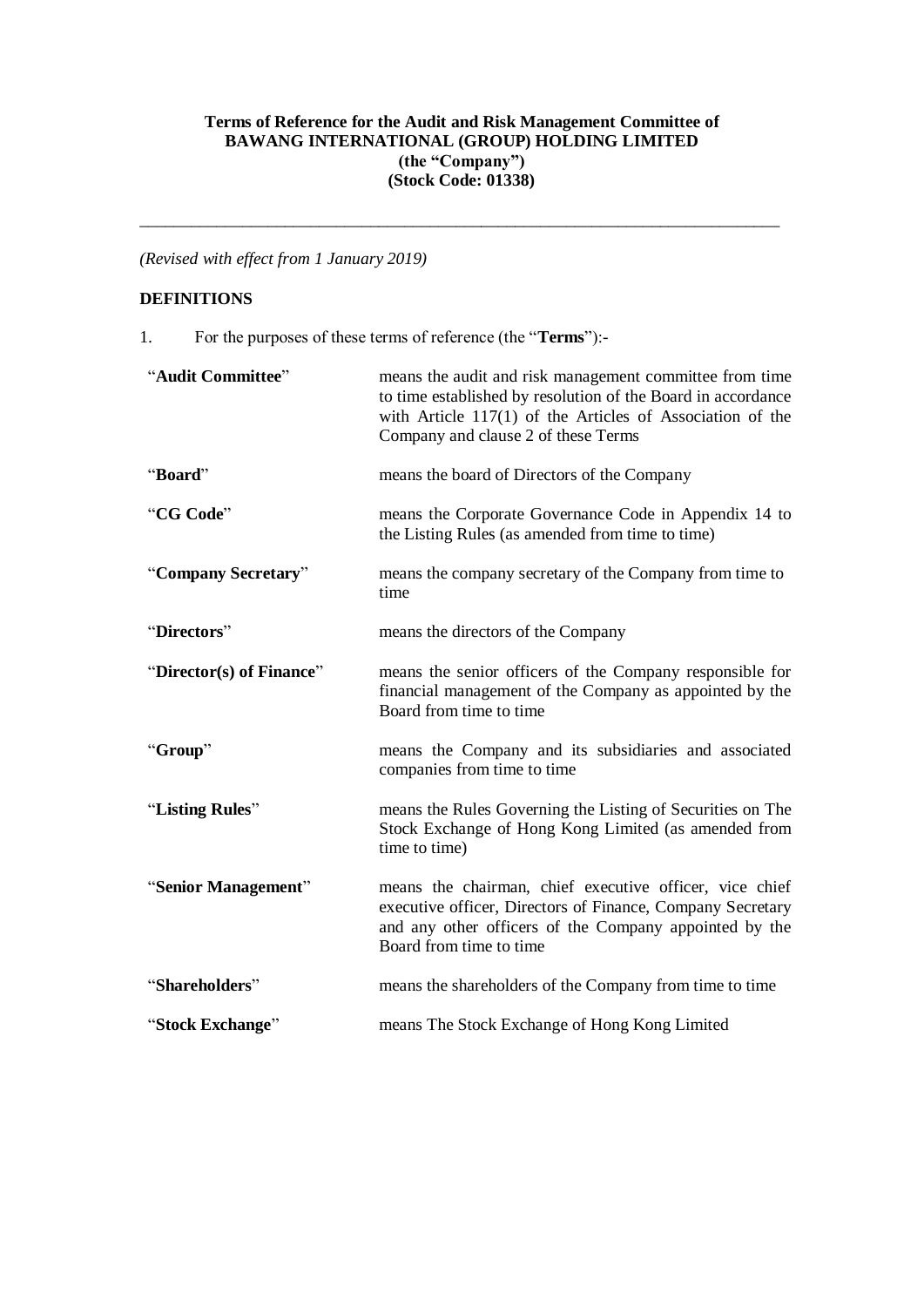### **Terms of Reference for the Audit and Risk Management Committee of BAWANG INTERNATIONAL (GROUP) HOLDING LIMITED (the "Company") (Stock Code: 01338)**

\_\_\_\_\_\_\_\_\_\_\_\_\_\_\_\_\_\_\_\_\_\_\_\_\_\_\_\_\_\_\_\_\_\_\_\_\_\_\_\_\_\_\_\_\_\_\_\_\_\_\_\_\_\_\_\_\_\_\_\_\_\_\_\_\_\_\_\_\_\_\_\_\_\_\_

*(Revised with effect from 1 January 2019)*

# **DEFINITIONS**

1. For the purposes of these terms of reference (the "**Terms**"):-

| "Audit Committee"        | means the audit and risk management committee from time<br>to time established by resolution of the Board in accordance<br>with Article $117(1)$ of the Articles of Association of the<br>Company and clause 2 of these Terms |
|--------------------------|-------------------------------------------------------------------------------------------------------------------------------------------------------------------------------------------------------------------------------|
| "Board"                  | means the board of Directors of the Company                                                                                                                                                                                   |
| "CG Code"                | means the Corporate Governance Code in Appendix 14 to<br>the Listing Rules (as amended from time to time)                                                                                                                     |
| "Company Secretary"      | means the company secretary of the Company from time to<br>time                                                                                                                                                               |
| "Directors"              | means the directors of the Company                                                                                                                                                                                            |
| "Director(s) of Finance" | means the senior officers of the Company responsible for<br>financial management of the Company as appointed by the<br>Board from time to time                                                                                |
| "Group"                  | means the Company and its subsidiaries and associated<br>companies from time to time                                                                                                                                          |
| "Listing Rules"          | means the Rules Governing the Listing of Securities on The<br>Stock Exchange of Hong Kong Limited (as amended from<br>time to time)                                                                                           |
| "Senior Management"      | means the chairman, chief executive officer, vice chief<br>executive officer, Directors of Finance, Company Secretary<br>and any other officers of the Company appointed by the<br>Board from time to time                    |
| "Shareholders"           | means the shareholders of the Company from time to time                                                                                                                                                                       |
| "Stock Exchange"         | means The Stock Exchange of Hong Kong Limited                                                                                                                                                                                 |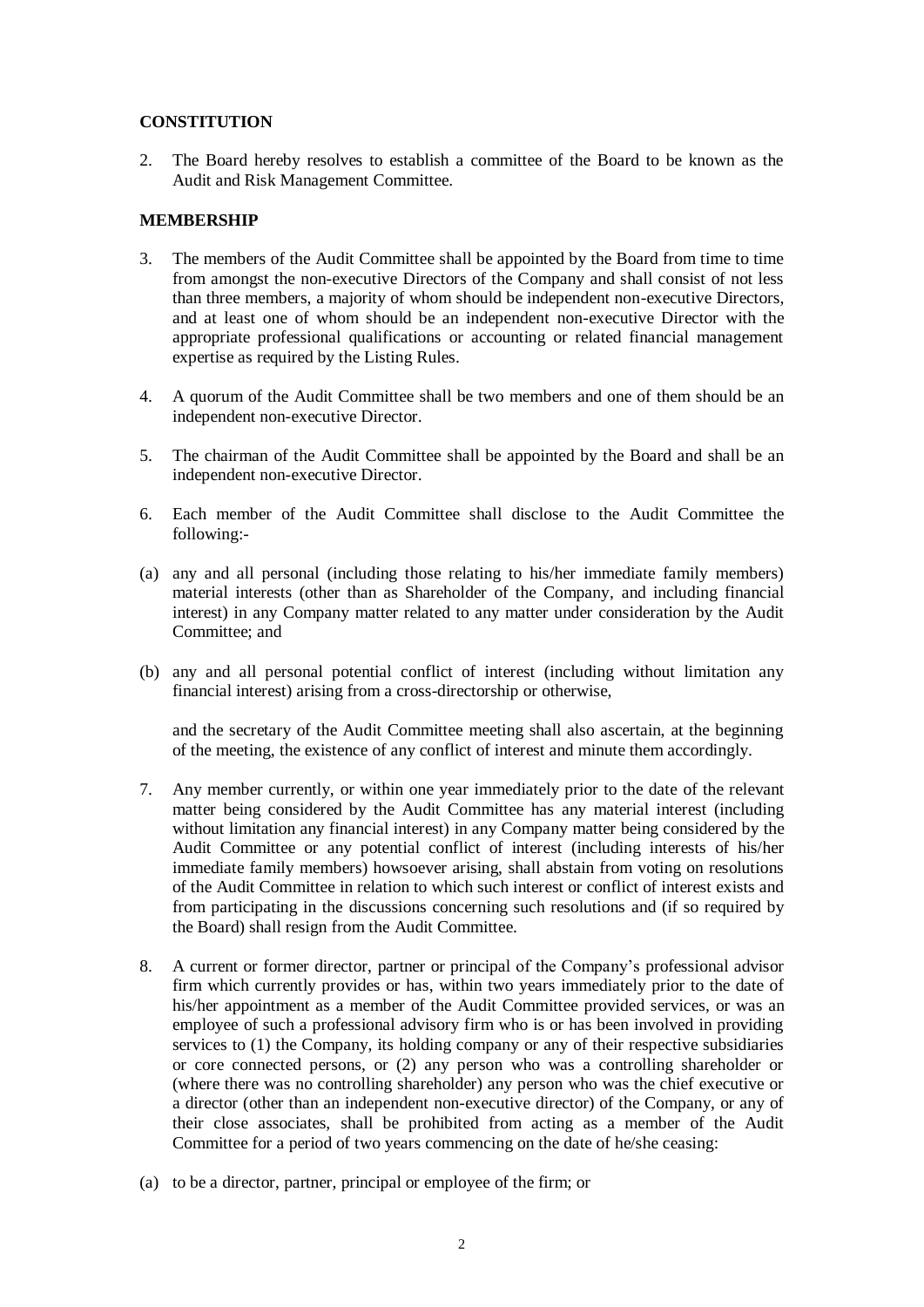### **CONSTITUTION**

2. The Board hereby resolves to establish a committee of the Board to be known as the Audit and Risk Management Committee.

### **MEMBERSHIP**

- 3. The members of the Audit Committee shall be appointed by the Board from time to time from amongst the non-executive Directors of the Company and shall consist of not less than three members, a majority of whom should be independent non-executive Directors, and at least one of whom should be an independent non-executive Director with the appropriate professional qualifications or accounting or related financial management expertise as required by the Listing Rules.
- 4. A quorum of the Audit Committee shall be two members and one of them should be an independent non-executive Director.
- 5. The chairman of the Audit Committee shall be appointed by the Board and shall be an independent non-executive Director.
- 6. Each member of the Audit Committee shall disclose to the Audit Committee the following:-
- (a) any and all personal (including those relating to his/her immediate family members) material interests (other than as Shareholder of the Company, and including financial interest) in any Company matter related to any matter under consideration by the Audit Committee; and
- (b) any and all personal potential conflict of interest (including without limitation any financial interest) arising from a cross-directorship or otherwise,

and the secretary of the Audit Committee meeting shall also ascertain, at the beginning of the meeting, the existence of any conflict of interest and minute them accordingly.

- 7. Any member currently, or within one year immediately prior to the date of the relevant matter being considered by the Audit Committee has any material interest (including without limitation any financial interest) in any Company matter being considered by the Audit Committee or any potential conflict of interest (including interests of his/her immediate family members) howsoever arising, shall abstain from voting on resolutions of the Audit Committee in relation to which such interest or conflict of interest exists and from participating in the discussions concerning such resolutions and (if so required by the Board) shall resign from the Audit Committee.
- 8. A current or former director, partner or principal of the Company's professional advisor firm which currently provides or has, within two years immediately prior to the date of his/her appointment as a member of the Audit Committee provided services, or was an employee of such a professional advisory firm who is or has been involved in providing services to (1) the Company, its holding company or any of their respective subsidiaries or core connected persons, or (2) any person who was a controlling shareholder or (where there was no controlling shareholder) any person who was the chief executive or a director (other than an independent non-executive director) of the Company, or any of their close associates, shall be prohibited from acting as a member of the Audit Committee for a period of two years commencing on the date of he/she ceasing:
- (a) to be a director, partner, principal or employee of the firm; or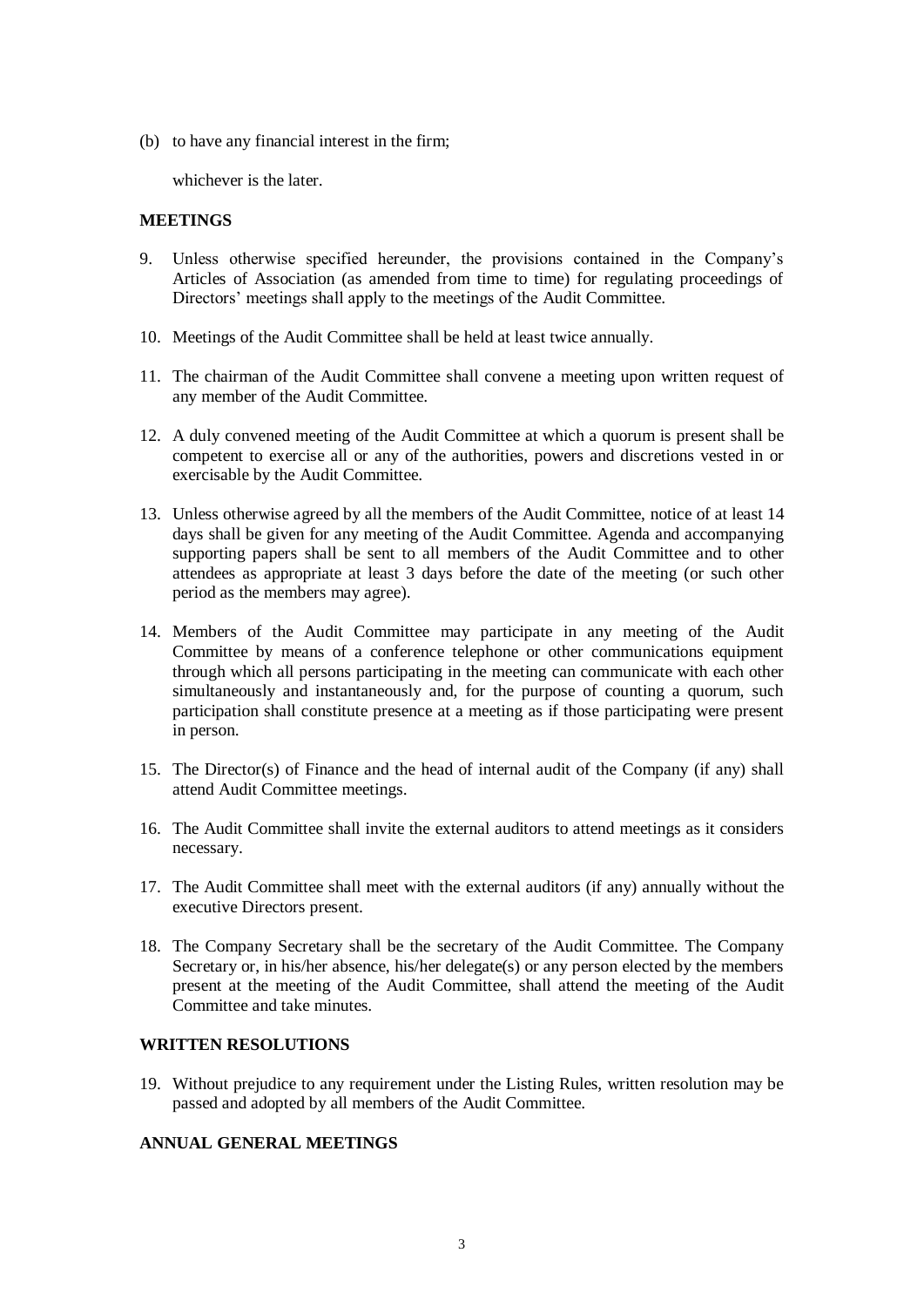(b) to have any financial interest in the firm;

whichever is the later.

#### **MEETINGS**

- 9. Unless otherwise specified hereunder, the provisions contained in the Company's Articles of Association (as amended from time to time) for regulating proceedings of Directors' meetings shall apply to the meetings of the Audit Committee.
- 10. Meetings of the Audit Committee shall be held at least twice annually.
- 11. The chairman of the Audit Committee shall convene a meeting upon written request of any member of the Audit Committee.
- 12. A duly convened meeting of the Audit Committee at which a quorum is present shall be competent to exercise all or any of the authorities, powers and discretions vested in or exercisable by the Audit Committee.
- 13. Unless otherwise agreed by all the members of the Audit Committee, notice of at least 14 days shall be given for any meeting of the Audit Committee. Agenda and accompanying supporting papers shall be sent to all members of the Audit Committee and to other attendees as appropriate at least 3 days before the date of the meeting (or such other period as the members may agree).
- 14. Members of the Audit Committee may participate in any meeting of the Audit Committee by means of a conference telephone or other communications equipment through which all persons participating in the meeting can communicate with each other simultaneously and instantaneously and, for the purpose of counting a quorum, such participation shall constitute presence at a meeting as if those participating were present in person.
- 15. The Director(s) of Finance and the head of internal audit of the Company (if any) shall attend Audit Committee meetings.
- 16. The Audit Committee shall invite the external auditors to attend meetings as it considers necessary.
- 17. The Audit Committee shall meet with the external auditors (if any) annually without the executive Directors present.
- 18. The Company Secretary shall be the secretary of the Audit Committee. The Company Secretary or, in his/her absence, his/her delegate(s) or any person elected by the members present at the meeting of the Audit Committee, shall attend the meeting of the Audit Committee and take minutes.

# **WRITTEN RESOLUTIONS**

19. Without prejudice to any requirement under the Listing Rules, written resolution may be passed and adopted by all members of the Audit Committee.

### **ANNUAL GENERAL MEETINGS**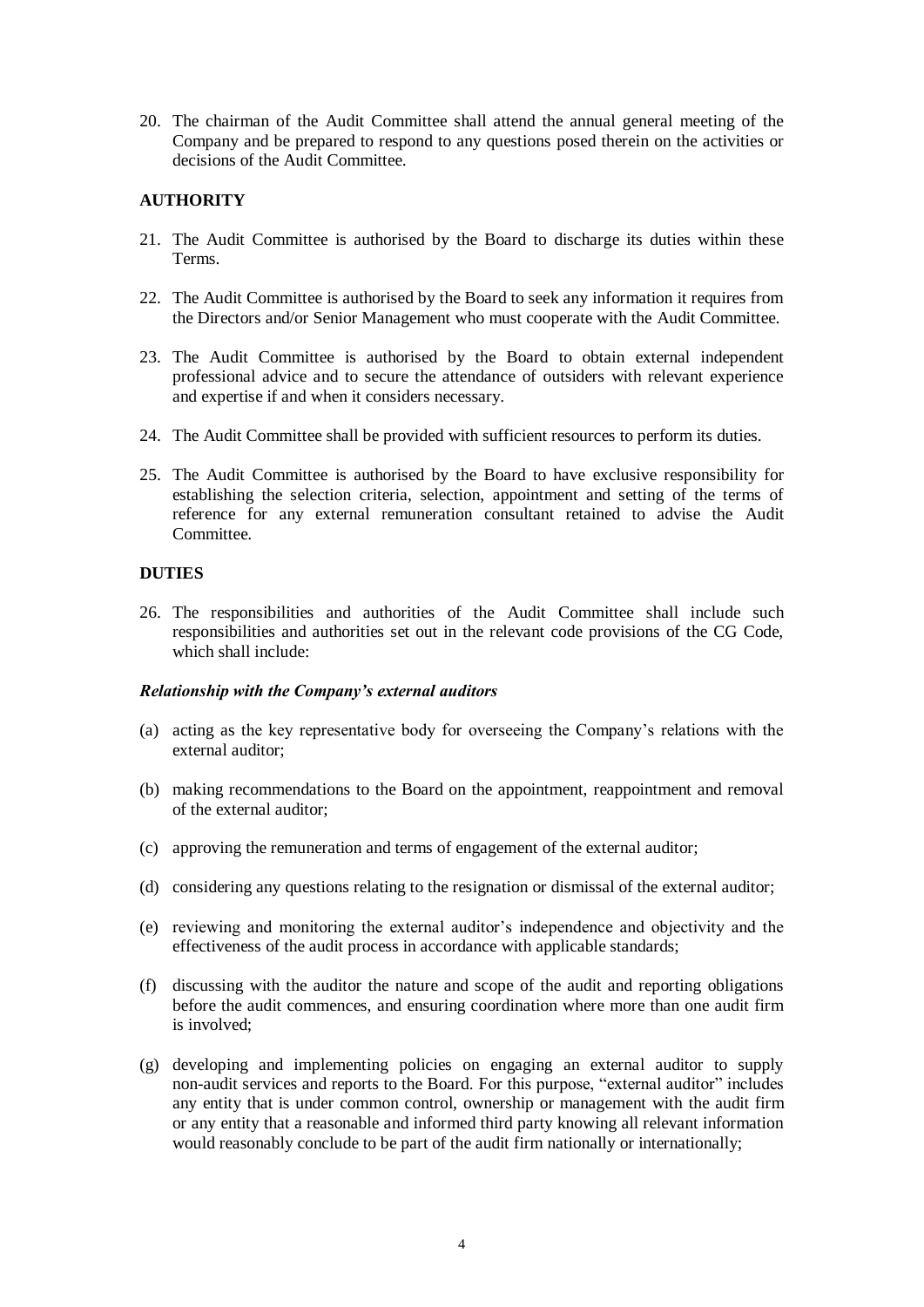20. The chairman of the Audit Committee shall attend the annual general meeting of the Company and be prepared to respond to any questions posed therein on the activities or decisions of the Audit Committee.

# **AUTHORITY**

- 21. The Audit Committee is authorised by the Board to discharge its duties within these Terms.
- 22. The Audit Committee is authorised by the Board to seek any information it requires from the Directors and/or Senior Management who must cooperate with the Audit Committee.
- 23. The Audit Committee is authorised by the Board to obtain external independent professional advice and to secure the attendance of outsiders with relevant experience and expertise if and when it considers necessary.
- 24. The Audit Committee shall be provided with sufficient resources to perform its duties.
- 25. The Audit Committee is authorised by the Board to have exclusive responsibility for establishing the selection criteria, selection, appointment and setting of the terms of reference for any external remuneration consultant retained to advise the Audit Committee.

## **DUTIES**

26. The responsibilities and authorities of the Audit Committee shall include such responsibilities and authorities set out in the relevant code provisions of the CG Code, which shall include:

#### *Relationship with the Company's external auditors*

- (a) acting as the key representative body for overseeing the Company's relations with the external auditor;
- (b) making recommendations to the Board on the appointment, reappointment and removal of the external auditor;
- (c) approving the remuneration and terms of engagement of the external auditor;
- (d) considering any questions relating to the resignation or dismissal of the external auditor;
- (e) reviewing and monitoring the external auditor's independence and objectivity and the effectiveness of the audit process in accordance with applicable standards;
- (f) discussing with the auditor the nature and scope of the audit and reporting obligations before the audit commences, and ensuring coordination where more than one audit firm is involved;
- (g) developing and implementing policies on engaging an external auditor to supply non-audit services and reports to the Board. For this purpose, "external auditor" includes any entity that is under common control, ownership or management with the audit firm or any entity that a reasonable and informed third party knowing all relevant information would reasonably conclude to be part of the audit firm nationally or internationally;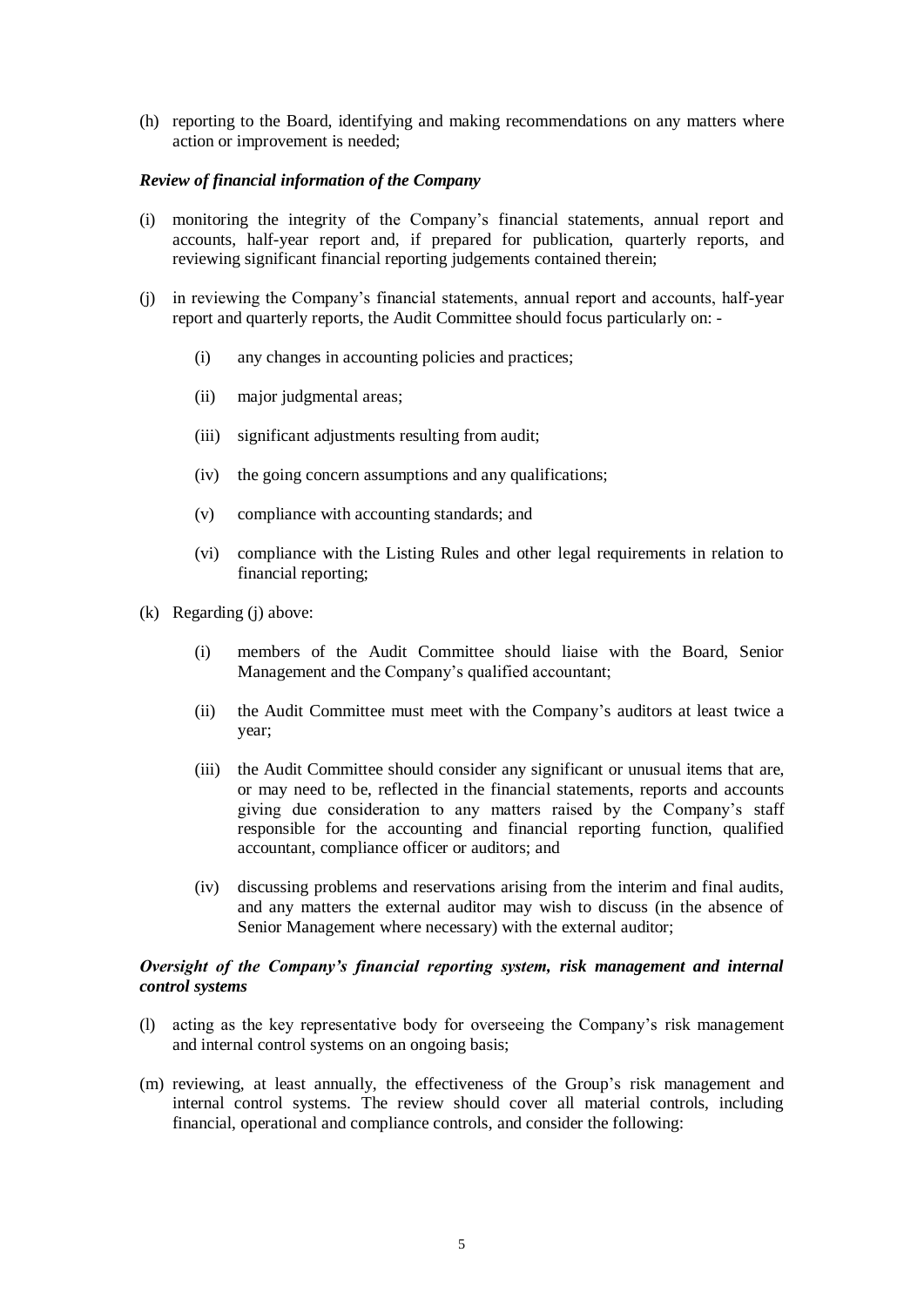(h) reporting to the Board, identifying and making recommendations on any matters where action or improvement is needed;

#### *Review of financial information of the Company*

- (i) monitoring the integrity of the Company's financial statements, annual report and accounts, half-year report and, if prepared for publication, quarterly reports, and reviewing significant financial reporting judgements contained therein;
- (j) in reviewing the Company's financial statements, annual report and accounts, half-year report and quarterly reports, the Audit Committee should focus particularly on: -
	- (i) any changes in accounting policies and practices;
	- (ii) major judgmental areas;
	- (iii) significant adjustments resulting from audit;
	- (iv) the going concern assumptions and any qualifications;
	- (v) compliance with accounting standards; and
	- (vi) compliance with the Listing Rules and other legal requirements in relation to financial reporting;
- (k) Regarding (j) above:
	- (i) members of the Audit Committee should liaise with the Board, Senior Management and the Company's qualified accountant;
	- (ii) the Audit Committee must meet with the Company's auditors at least twice a year;
	- (iii) the Audit Committee should consider any significant or unusual items that are, or may need to be, reflected in the financial statements, reports and accounts giving due consideration to any matters raised by the Company's staff responsible for the accounting and financial reporting function, qualified accountant, compliance officer or auditors; and
	- (iv) discussing problems and reservations arising from the interim and final audits, and any matters the external auditor may wish to discuss (in the absence of Senior Management where necessary) with the external auditor;

### *Oversight of the Company's financial reporting system, risk management and internal control systems*

- (l) acting as the key representative body for overseeing the Company's risk management and internal control systems on an ongoing basis;
- (m) reviewing, at least annually, the effectiveness of the Group's risk management and internal control systems. The review should cover all material controls, including financial, operational and compliance controls, and consider the following: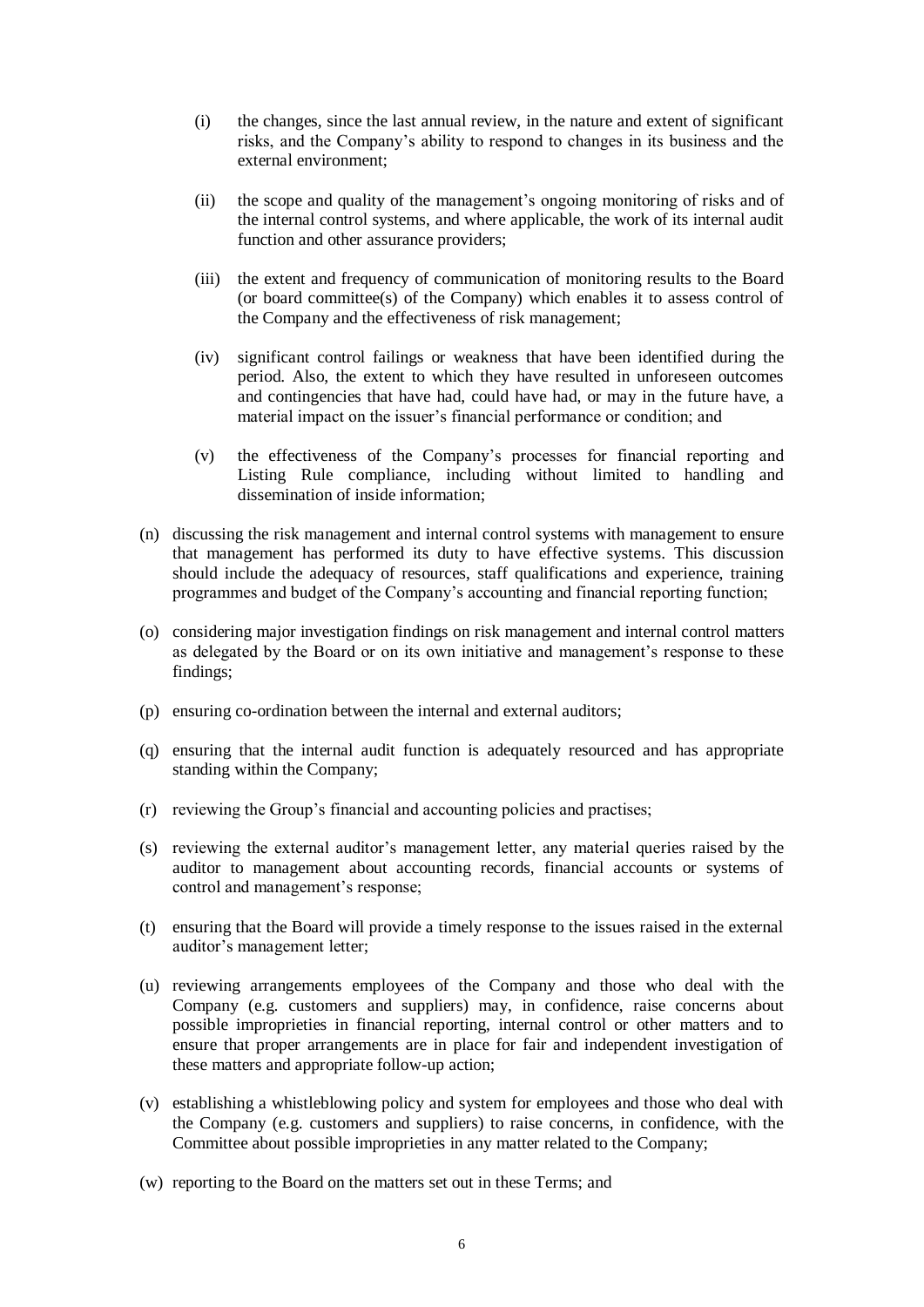- (i) the changes, since the last annual review, in the nature and extent of significant risks, and the Company's ability to respond to changes in its business and the external environment;
- (ii) the scope and quality of the management's ongoing monitoring of risks and of the internal control systems, and where applicable, the work of its internal audit function and other assurance providers;
- (iii) the extent and frequency of communication of monitoring results to the Board (or board committee(s) of the Company) which enables it to assess control of the Company and the effectiveness of risk management;
- (iv) significant control failings or weakness that have been identified during the period. Also, the extent to which they have resulted in unforeseen outcomes and contingencies that have had, could have had, or may in the future have, a material impact on the issuer's financial performance or condition; and
- (v) the effectiveness of the Company's processes for financial reporting and Listing Rule compliance, including without limited to handling and dissemination of inside information;
- (n) discussing the risk management and internal control systems with management to ensure that management has performed its duty to have effective systems. This discussion should include the adequacy of resources, staff qualifications and experience, training programmes and budget of the Company's accounting and financial reporting function;
- (o) considering major investigation findings on risk management and internal control matters as delegated by the Board or on its own initiative and management's response to these findings;
- (p) ensuring co-ordination between the internal and external auditors;
- (q) ensuring that the internal audit function is adequately resourced and has appropriate standing within the Company;
- (r) reviewing the Group's financial and accounting policies and practises;
- (s) reviewing the external auditor's management letter, any material queries raised by the auditor to management about accounting records, financial accounts or systems of control and management's response;
- (t) ensuring that the Board will provide a timely response to the issues raised in the external auditor's management letter;
- (u) reviewing arrangements employees of the Company and those who deal with the Company (e.g. customers and suppliers) may, in confidence, raise concerns about possible improprieties in financial reporting, internal control or other matters and to ensure that proper arrangements are in place for fair and independent investigation of these matters and appropriate follow-up action;
- (v) establishing a whistleblowing policy and system for employees and those who deal with the Company (e.g. customers and suppliers) to raise concerns, in confidence, with the Committee about possible improprieties in any matter related to the Company;
- (w) reporting to the Board on the matters set out in these Terms; and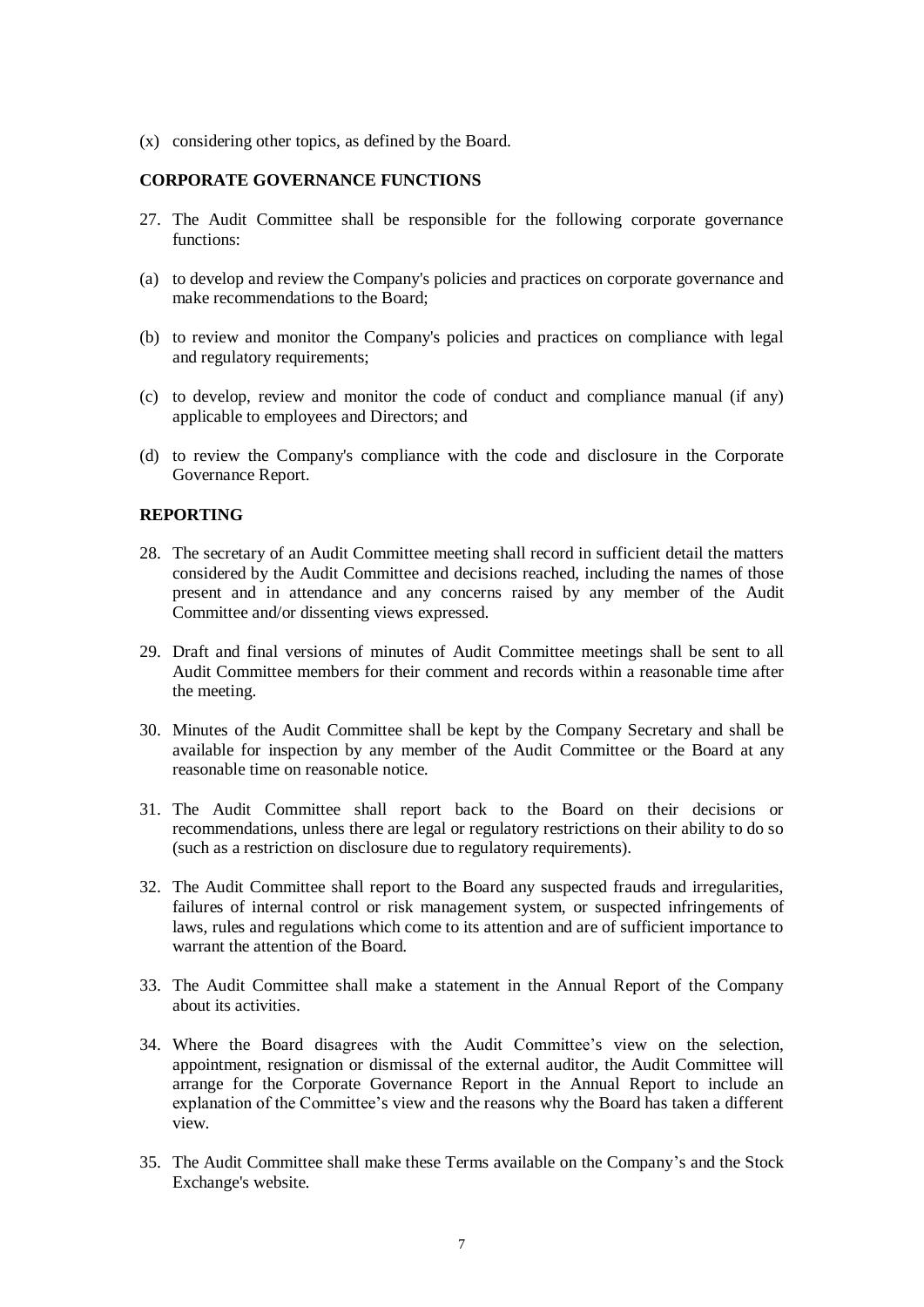(x) considering other topics, as defined by the Board.

### **CORPORATE GOVERNANCE FUNCTIONS**

- 27. The Audit Committee shall be responsible for the following corporate governance functions:
- (a) to develop and review the Company's policies and practices on corporate governance and make recommendations to the Board;
- (b) to review and monitor the Company's policies and practices on compliance with legal and regulatory requirements;
- (c) to develop, review and monitor the code of conduct and compliance manual (if any) applicable to employees and Directors; and
- (d) to review the Company's compliance with the code and disclosure in the Corporate Governance Report.

### **REPORTING**

- 28. The secretary of an Audit Committee meeting shall record in sufficient detail the matters considered by the Audit Committee and decisions reached, including the names of those present and in attendance and any concerns raised by any member of the Audit Committee and/or dissenting views expressed.
- 29. Draft and final versions of minutes of Audit Committee meetings shall be sent to all Audit Committee members for their comment and records within a reasonable time after the meeting.
- 30. Minutes of the Audit Committee shall be kept by the Company Secretary and shall be available for inspection by any member of the Audit Committee or the Board at any reasonable time on reasonable notice.
- 31. The Audit Committee shall report back to the Board on their decisions or recommendations, unless there are legal or regulatory restrictions on their ability to do so (such as a restriction on disclosure due to regulatory requirements).
- 32. The Audit Committee shall report to the Board any suspected frauds and irregularities, failures of internal control or risk management system, or suspected infringements of laws, rules and regulations which come to its attention and are of sufficient importance to warrant the attention of the Board.
- 33. The Audit Committee shall make a statement in the Annual Report of the Company about its activities.
- 34. Where the Board disagrees with the Audit Committee's view on the selection, appointment, resignation or dismissal of the external auditor, the Audit Committee will arrange for the Corporate Governance Report in the Annual Report to include an explanation of the Committee's view and the reasons why the Board has taken a different view.
- 35. The Audit Committee shall make these Terms available on the Company's and the Stock Exchange's website.